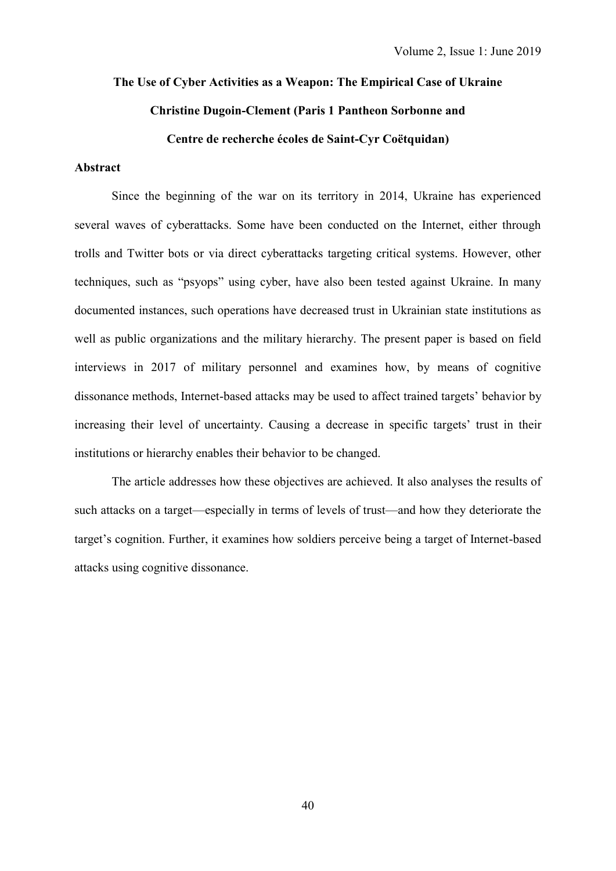# **The Use of Cyber Activities as a Weapon: The Empirical Case of Ukraine Christine Dugoin-Clement (Paris 1 Pantheon Sorbonne and Centre de recherche écoles de Saint-Cyr Coëtquidan)**

## **Abstract**

Since the beginning of the war on its territory in 2014, Ukraine has experienced several waves of cyberattacks. Some have been conducted on the Internet, either through trolls and Twitter bots or via direct cyberattacks targeting critical systems. However, other techniques, such as "psyops" using cyber, have also been tested against Ukraine. In many documented instances, such operations have decreased trust in Ukrainian state institutions as well as public organizations and the military hierarchy. The present paper is based on field interviews in 2017 of military personnel and examines how, by means of cognitive dissonance methods, Internet-based attacks may be used to affect trained targets' behavior by increasing their level of uncertainty. Causing a decrease in specific targets' trust in their institutions or hierarchy enables their behavior to be changed.

The article addresses how these objectives are achieved. It also analyses the results of such attacks on a target—especially in terms of levels of trust—and how they deteriorate the target's cognition. Further, it examines how soldiers perceive being a target of Internet-based attacks using cognitive dissonance.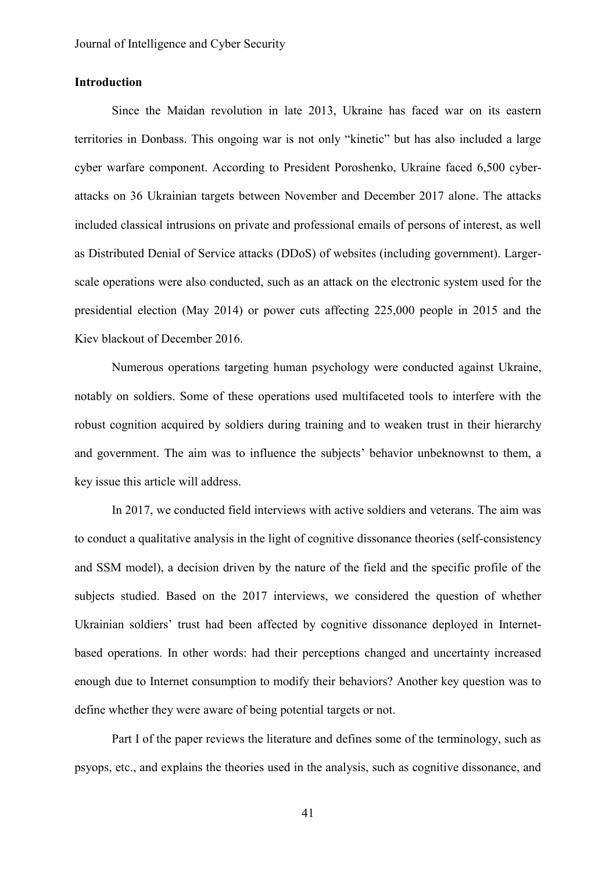# **Introduction**

Since the Maidan revolution in late 2013, Ukraine has faced war on its eastern territories in Donbass. This ongoing war is not only "kinetic" but has also included a large cyber warfare component. According to President Poroshenko, Ukraine faced 6,500 cyberattacks on 36 Ukrainian targets between November and December 2017 alone. The attacks included classical intrusions on private and professional emails of persons of interest, as well as Distributed Denial of Service attacks (DDoS) of websites (including government). Largerscale operations were also conducted, such as an attack on the electronic system used for the presidential election (May 2014) or power cuts affecting 225,000 people in 2015 and the Kiev blackout of December 2016.

Numerous operations targeting human psychology were conducted against Ukraine, notably on soldiers. Some of these operations used multifaceted tools to interfere with the robust cognition acquired by soldiers during training and to weaken trust in their hierarchy and government. The aim was to influence the subjects' behavior unbeknownst to them, a key issue this article will address.

In 2017, we conducted field interviews with active soldiers and veterans. The aim was to conduct a qualitative analysis in the light of cognitive dissonance theories (self-consistency and SSM model), a decision driven by the nature of the field and the specific profile of the subjects studied. Based on the 2017 interviews, we considered the question of whether Ukrainian soldiers' trust had been affected by cognitive dissonance deployed in Internetbased operations. In other words: had their perceptions changed and uncertainty increased enough due to Internet consumption to modify their behaviors? Another key question was to define whether they were aware of being potential targets or not.

Part I of the paper reviews the literature and defines some of the terminology, such as psyops, etc., and explains the theories used in the analysis, such as cognitive dissonance, and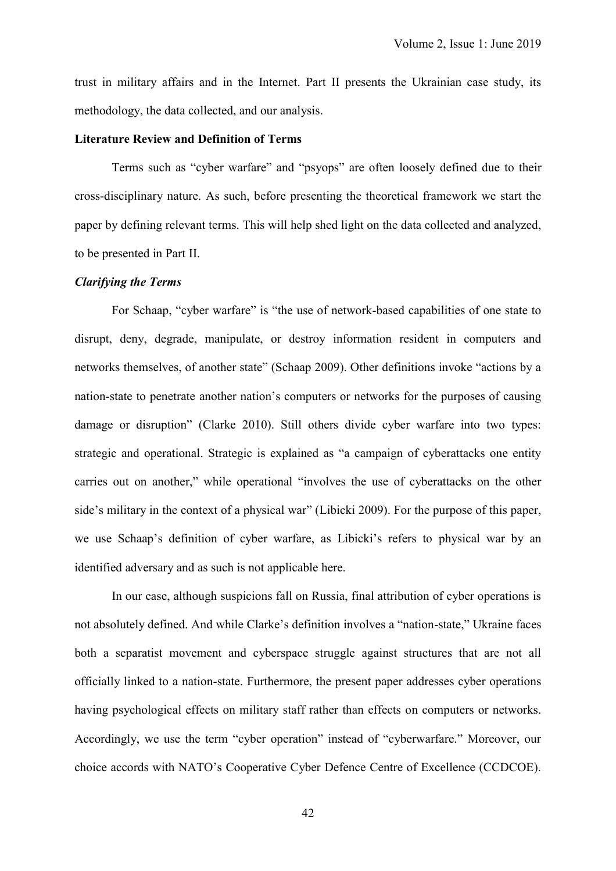trust in military affairs and in the Internet. Part II presents the Ukrainian case study, its methodology, the data collected, and our analysis.

#### **Literature Review and Definition of Terms**

Terms such as "cyber warfare" and "psyops" are often loosely defined due to their cross-disciplinary nature. As such, before presenting the theoretical framework we start the paper by defining relevant terms. This will help shed light on the data collected and analyzed, to be presented in Part II.

### *Clarifying the Terms*

For Schaap, "cyber warfare" is "the use of network-based capabilities of one state to disrupt, deny, degrade, manipulate, or destroy information resident in computers and networks themselves, of another state" (Schaap 2009). Other definitions invoke "actions by a nation-state to penetrate another nation's computers or networks for the purposes of causing damage or disruption" (Clarke 2010). Still others divide cyber warfare into two types: strategic and operational. Strategic is explained as "a campaign of cyberattacks one entity carries out on another," while operational "involves the use of cyberattacks on the other side's military in the context of a physical war" (Libicki 2009). For the purpose of this paper, we use Schaap's definition of cyber warfare, as Libicki's refers to physical war by an identified adversary and as such is not applicable here.

In our case, although suspicions fall on Russia, final attribution of cyber operations is not absolutely defined. And while Clarke's definition involves a "nation-state," Ukraine faces both a separatist movement and cyberspace struggle against structures that are not all officially linked to a nation-state. Furthermore, the present paper addresses cyber operations having psychological effects on military staff rather than effects on computers or networks. Accordingly, we use the term "cyber operation" instead of "cyberwarfare." Moreover, our choice accords with NATO's Cooperative Cyber Defence Centre of Excellence (CCDCOE).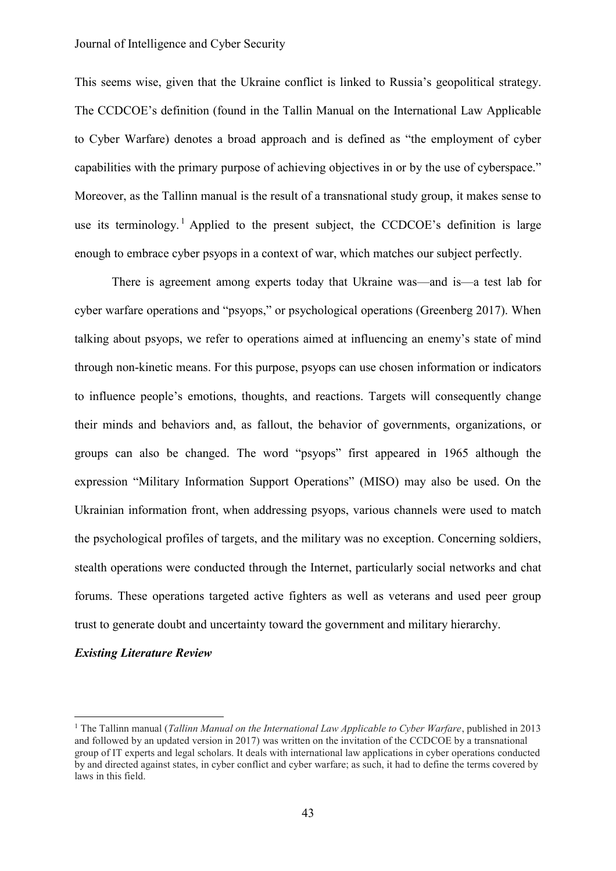This seems wise, given that the Ukraine conflict is linked to Russia's geopolitical strategy. The CCDCOE's definition (found in the Tallin Manual on the International Law Applicable to Cyber Warfare) denotes a broad approach and is defined as "the employment of cyber capabilities with the primary purpose of achieving objectives in or by the use of cyberspace." Moreover, as the Tallinn manual is the result of a transnational study group, it makes sense to use its terminology.<sup>1</sup> Applied to the present subject, the CCDCOE's definition is large enough to embrace cyber psyops in a context of war, which matches our subject perfectly.

There is agreement among experts today that Ukraine was—and is—a test lab for cyber warfare operations and "psyops," or psychological operations (Greenberg 2017). When talking about psyops, we refer to operations aimed at influencing an enemy's state of mind through non-kinetic means. For this purpose, psyops can use chosen information or indicators to influence people's emotions, thoughts, and reactions. Targets will consequently change their minds and behaviors and, as fallout, the behavior of governments, organizations, or groups can also be changed. The word "psyops" first appeared in 1965 although the expression "Military Information Support Operations" (MISO) may also be used. On the Ukrainian information front, when addressing psyops, various channels were used to match the psychological profiles of targets, and the military was no exception. Concerning soldiers, stealth operations were conducted through the Internet, particularly social networks and chat forums. These operations targeted active fighters as well as veterans and used peer group trust to generate doubt and uncertainty toward the government and military hierarchy.

# *Existing Literature Review*

 $\overline{a}$ 

<sup>1</sup> The Tallinn manual (*Tallinn Manual on the International Law Applicable to Cyber Warfare*, published in 2013 and followed by an updated version in 2017) was written on the invitation of the CCDCOE by a transnational group of IT experts and legal scholars. It deals with international law applications in cyber operations conducted by and directed against states, in cyber conflict and cyber warfare; as such, it had to define the terms covered by laws in this field.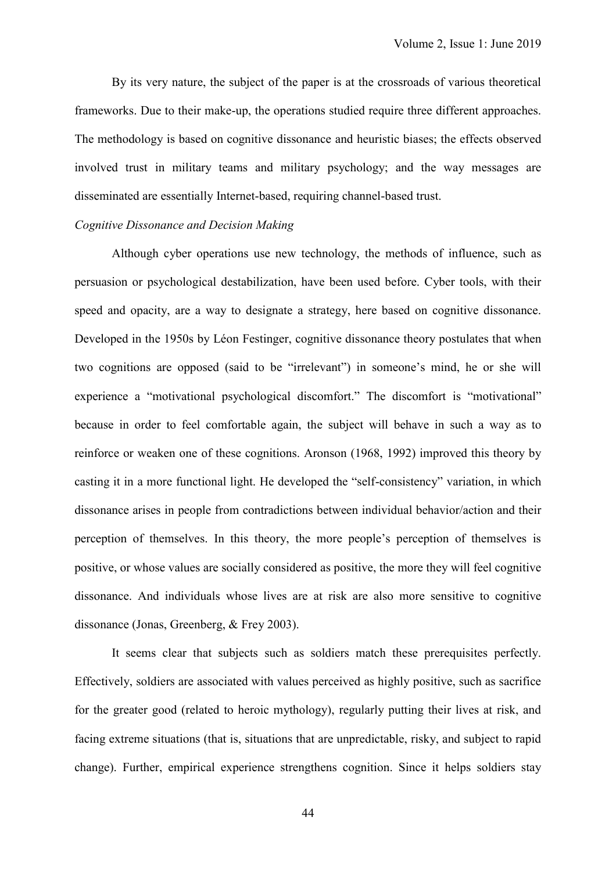By its very nature, the subject of the paper is at the crossroads of various theoretical frameworks. Due to their make-up, the operations studied require three different approaches. The methodology is based on cognitive dissonance and heuristic biases; the effects observed involved trust in military teams and military psychology; and the way messages are disseminated are essentially Internet-based, requiring channel-based trust.

# *Cognitive Dissonance and Decision Making*

Although cyber operations use new technology, the methods of influence, such as persuasion or psychological destabilization, have been used before. Cyber tools, with their speed and opacity, are a way to designate a strategy, here based on cognitive dissonance. Developed in the 1950s by Léon Festinger, cognitive dissonance theory postulates that when two cognitions are opposed (said to be "irrelevant") in someone's mind, he or she will experience a "motivational psychological discomfort." The discomfort is "motivational" because in order to feel comfortable again, the subject will behave in such a way as to reinforce or weaken one of these cognitions. Aronson (1968, 1992) improved this theory by casting it in a more functional light. He developed the "self-consistency" variation, in which dissonance arises in people from contradictions between individual behavior/action and their perception of themselves. In this theory, the more people's perception of themselves is positive, or whose values are socially considered as positive, the more they will feel cognitive dissonance. And individuals whose lives are at risk are also more sensitive to cognitive dissonance (Jonas, Greenberg, & Frey 2003).

It seems clear that subjects such as soldiers match these prerequisites perfectly. Effectively, soldiers are associated with values perceived as highly positive, such as sacrifice for the greater good (related to heroic mythology), regularly putting their lives at risk, and facing extreme situations (that is, situations that are unpredictable, risky, and subject to rapid change). Further, empirical experience strengthens cognition. Since it helps soldiers stay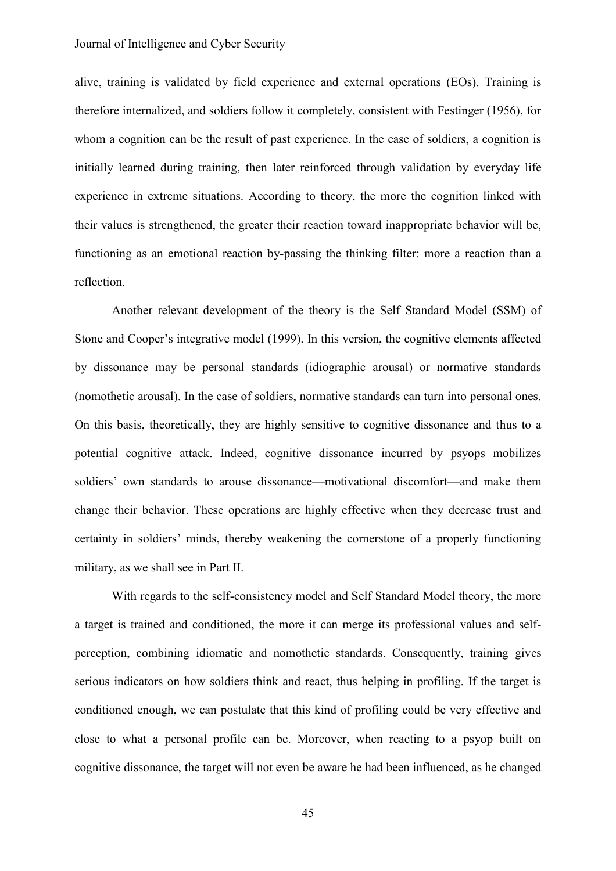#### Journal of Intelligence and Cyber Security

alive, training is validated by field experience and external operations (EOs). Training is therefore internalized, and soldiers follow it completely, consistent with Festinger (1956), for whom a cognition can be the result of past experience. In the case of soldiers, a cognition is initially learned during training, then later reinforced through validation by everyday life experience in extreme situations. According to theory, the more the cognition linked with their values is strengthened, the greater their reaction toward inappropriate behavior will be, functioning as an emotional reaction by-passing the thinking filter: more a reaction than a reflection.

Another relevant development of the theory is the Self Standard Model (SSM) of Stone and Cooper's integrative model (1999). In this version, the cognitive elements affected by dissonance may be personal standards (idiographic arousal) or normative standards (nomothetic arousal). In the case of soldiers, normative standards can turn into personal ones. On this basis, theoretically, they are highly sensitive to cognitive dissonance and thus to a potential cognitive attack. Indeed, cognitive dissonance incurred by psyops mobilizes soldiers' own standards to arouse dissonance—motivational discomfort—and make them change their behavior. These operations are highly effective when they decrease trust and certainty in soldiers' minds, thereby weakening the cornerstone of a properly functioning military, as we shall see in Part II.

With regards to the self-consistency model and Self Standard Model theory, the more a target is trained and conditioned, the more it can merge its professional values and selfperception, combining idiomatic and nomothetic standards. Consequently, training gives serious indicators on how soldiers think and react, thus helping in profiling. If the target is conditioned enough, we can postulate that this kind of profiling could be very effective and close to what a personal profile can be. Moreover, when reacting to a psyop built on cognitive dissonance, the target will not even be aware he had been influenced, as he changed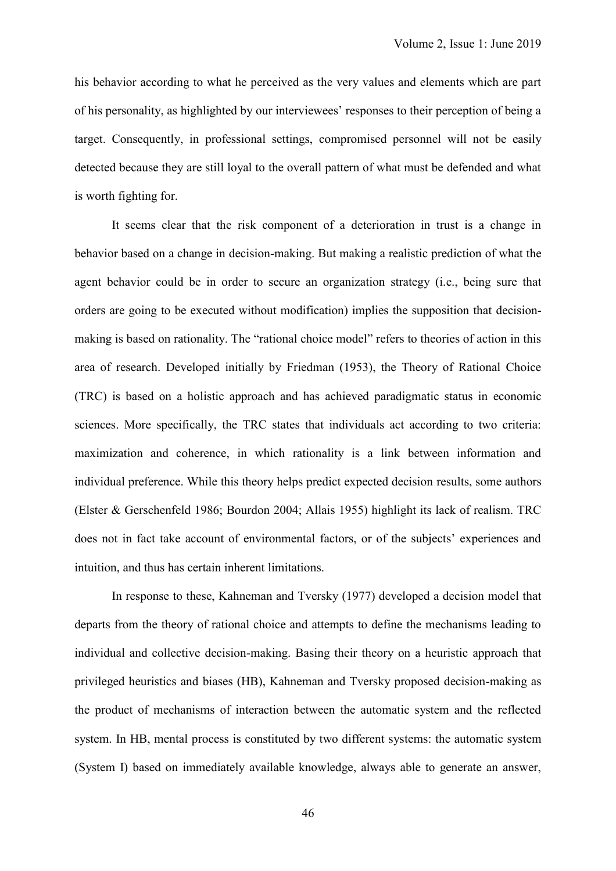his behavior according to what he perceived as the very values and elements which are part of his personality, as highlighted by our interviewees' responses to their perception of being a target. Consequently, in professional settings, compromised personnel will not be easily detected because they are still loyal to the overall pattern of what must be defended and what is worth fighting for.

It seems clear that the risk component of a deterioration in trust is a change in behavior based on a change in decision-making. But making a realistic prediction of what the agent behavior could be in order to secure an organization strategy (i.e., being sure that orders are going to be executed without modification) implies the supposition that decisionmaking is based on rationality. The "rational choice model" refers to theories of action in this area of research. Developed initially by Friedman (1953), the Theory of Rational Choice (TRC) is based on a holistic approach and has achieved paradigmatic status in economic sciences. More specifically, the TRC states that individuals act according to two criteria: maximization and coherence, in which rationality is a link between information and individual preference. While this theory helps predict expected decision results, some authors (Elster & Gerschenfeld 1986; Bourdon 2004; Allais 1955) highlight its lack of realism. TRC does not in fact take account of environmental factors, or of the subjects' experiences and intuition, and thus has certain inherent limitations.

In response to these, Kahneman and Tversky (1977) developed a decision model that departs from the theory of rational choice and attempts to define the mechanisms leading to individual and collective decision-making. Basing their theory on a heuristic approach that privileged heuristics and biases (HB), Kahneman and Tversky proposed decision-making as the product of mechanisms of interaction between the automatic system and the reflected system. In HB, mental process is constituted by two different systems: the automatic system (System I) based on immediately available knowledge, always able to generate an answer,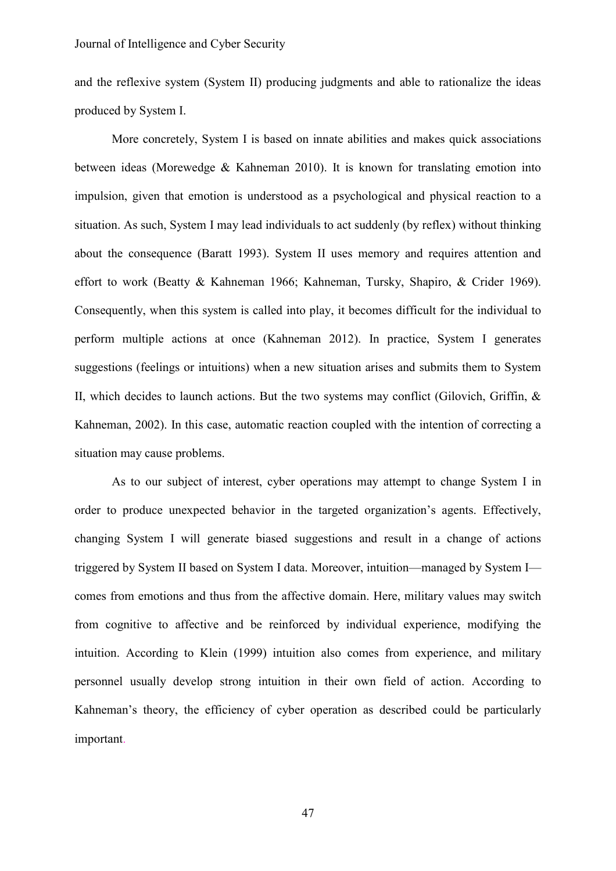and the reflexive system (System II) producing judgments and able to rationalize the ideas produced by System I.

More concretely, System I is based on innate abilities and makes quick associations between ideas (Morewedge & Kahneman 2010). It is known for translating emotion into impulsion, given that emotion is understood as a psychological and physical reaction to a situation. As such, System I may lead individuals to act suddenly (by reflex) without thinking about the consequence (Baratt 1993). System II uses memory and requires attention and effort to work (Beatty & Kahneman 1966; Kahneman, Tursky, Shapiro, & Crider 1969). Consequently, when this system is called into play, it becomes difficult for the individual to perform multiple actions at once (Kahneman 2012). In practice, System I generates suggestions (feelings or intuitions) when a new situation arises and submits them to System II, which decides to launch actions. But the two systems may conflict (Gilovich, Griffin, & Kahneman, 2002). In this case, automatic reaction coupled with the intention of correcting a situation may cause problems.

As to our subject of interest, cyber operations may attempt to change System I in order to produce unexpected behavior in the targeted organization's agents. Effectively, changing System I will generate biased suggestions and result in a change of actions triggered by System II based on System I data. Moreover, intuition—managed by System I comes from emotions and thus from the affective domain. Here, military values may switch from cognitive to affective and be reinforced by individual experience, modifying the intuition. According to Klein (1999) intuition also comes from experience, and military personnel usually develop strong intuition in their own field of action. According to Kahneman's theory, the efficiency of cyber operation as described could be particularly important.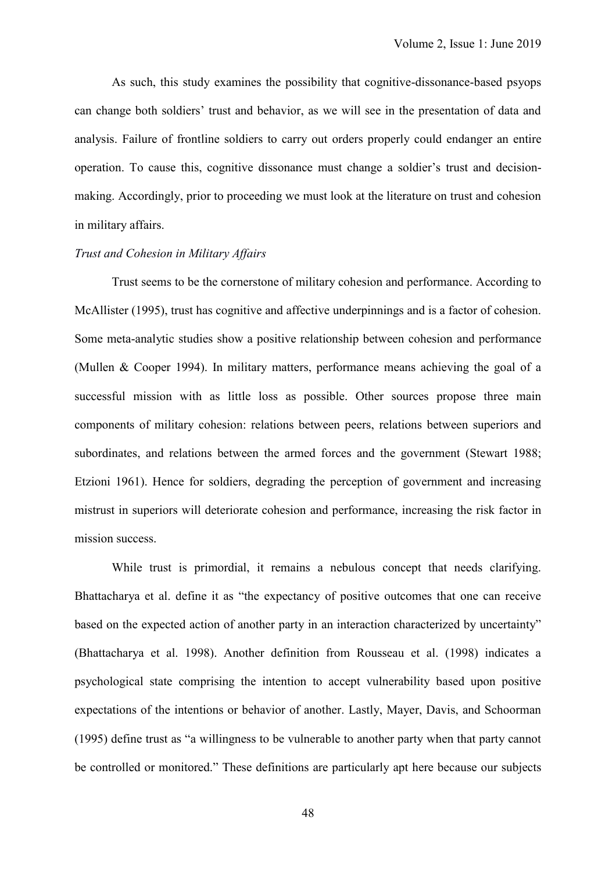As such, this study examines the possibility that cognitive-dissonance-based psyops can change both soldiers' trust and behavior, as we will see in the presentation of data and analysis. Failure of frontline soldiers to carry out orders properly could endanger an entire operation. To cause this, cognitive dissonance must change a soldier's trust and decisionmaking. Accordingly, prior to proceeding we must look at the literature on trust and cohesion in military affairs.

#### *Trust and Cohesion in Military Affairs*

Trust seems to be the cornerstone of military cohesion and performance. According to McAllister (1995), trust has cognitive and affective underpinnings and is a factor of cohesion. Some meta-analytic studies show a positive relationship between cohesion and performance (Mullen & Cooper 1994). In military matters, performance means achieving the goal of a successful mission with as little loss as possible. Other sources propose three main components of military cohesion: relations between peers, relations between superiors and subordinates, and relations between the armed forces and the government (Stewart 1988; Etzioni 1961). Hence for soldiers, degrading the perception of government and increasing mistrust in superiors will deteriorate cohesion and performance, increasing the risk factor in mission success.

While trust is primordial, it remains a nebulous concept that needs clarifying. Bhattacharya et al. define it as "the expectancy of positive outcomes that one can receive based on the expected action of another party in an interaction characterized by uncertainty" (Bhattacharya et al. 1998). Another definition from Rousseau et al. (1998) indicates a psychological state comprising the intention to accept vulnerability based upon positive expectations of the intentions or behavior of another. Lastly, Mayer, Davis, and Schoorman (1995) define trust as "a willingness to be vulnerable to another party when that party cannot be controlled or monitored." These definitions are particularly apt here because our subjects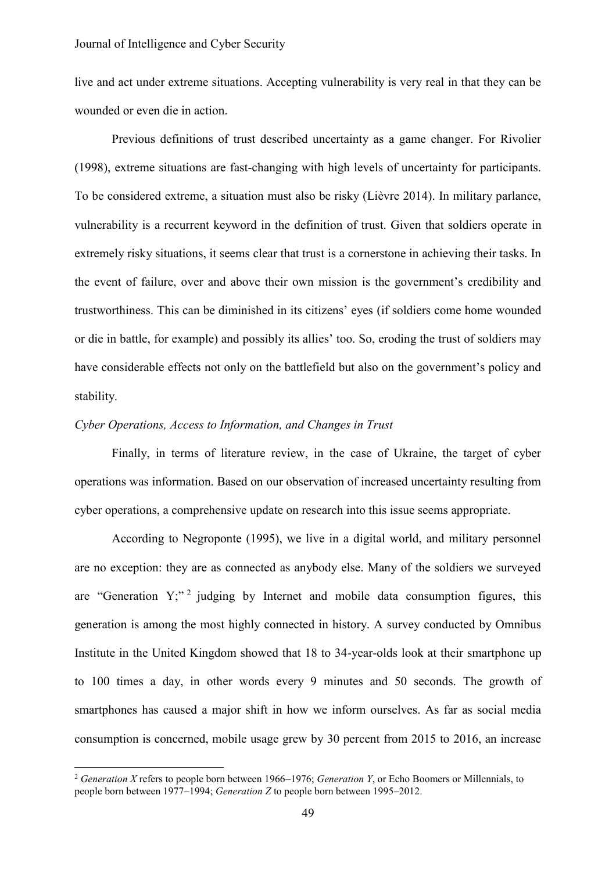live and act under extreme situations. Accepting vulnerability is very real in that they can be wounded or even die in action.

Previous definitions of trust described uncertainty as a game changer. For Rivolier (1998), extreme situations are fast-changing with high levels of uncertainty for participants. To be considered extreme, a situation must also be risky (Lièvre 2014). In military parlance, vulnerability is a recurrent keyword in the definition of trust. Given that soldiers operate in extremely risky situations, it seems clear that trust is a cornerstone in achieving their tasks. In the event of failure, over and above their own mission is the government's credibility and trustworthiness. This can be diminished in its citizens' eyes (if soldiers come home wounded or die in battle, for example) and possibly its allies' too. So, eroding the trust of soldiers may have considerable effects not only on the battlefield but also on the government's policy and stability.

## *Cyber Operations, Access to Information, and Changes in Trust*

 $\overline{a}$ 

Finally, in terms of literature review, in the case of Ukraine, the target of cyber operations was information. Based on our observation of increased uncertainty resulting from cyber operations, a comprehensive update on research into this issue seems appropriate.

According to Negroponte (1995), we live in a digital world, and military personnel are no exception: they are as connected as anybody else. Many of the soldiers we surveyed are "Generation  $Y;$ " indepting by Internet and mobile data consumption figures, this generation is among the most highly connected in history. A survey conducted by Omnibus Institute in the United Kingdom showed that 18 to 34-year-olds look at their smartphone up to 100 times a day, in other words every 9 minutes and 50 seconds. The growth of smartphones has caused a major shift in how we inform ourselves. As far as social media consumption is concerned, mobile usage grew by 30 percent from 2015 to 2016, an increase

<sup>2</sup> *Generation X* refers to people born between 1966–1976; *Generation Y*, or Echo Boomers or Millennials, to people born between 1977–1994; *Generation Z* to people born between 1995–2012.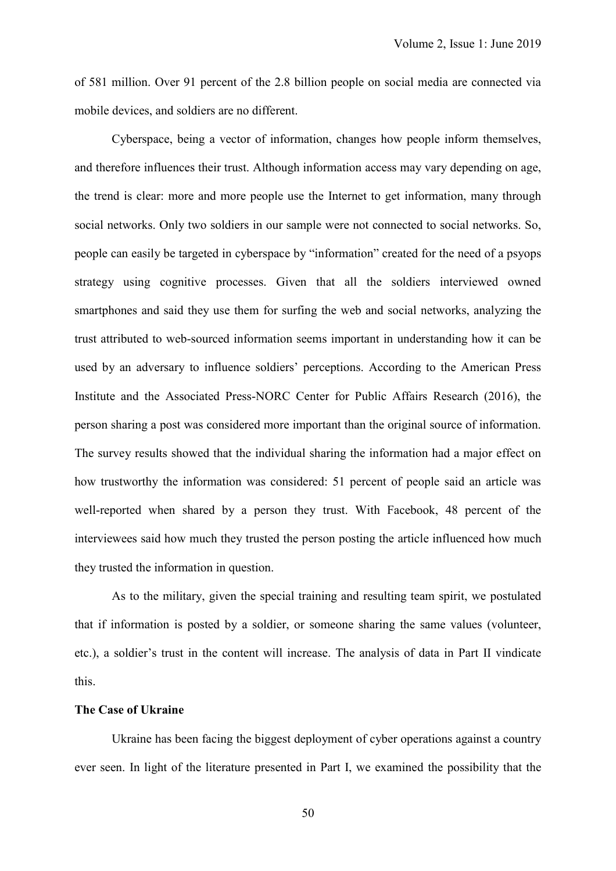of 581 million. Over 91 percent of the 2.8 billion people on social media are connected via mobile devices, and soldiers are no different.

Cyberspace, being a vector of information, changes how people inform themselves, and therefore influences their trust. Although information access may vary depending on age, the trend is clear: more and more people use the Internet to get information, many through social networks. Only two soldiers in our sample were not connected to social networks. So, people can easily be targeted in cyberspace by "information" created for the need of a psyops strategy using cognitive processes. Given that all the soldiers interviewed owned smartphones and said they use them for surfing the web and social networks, analyzing the trust attributed to web-sourced information seems important in understanding how it can be used by an adversary to influence soldiers' perceptions. According to the American Press Institute and the Associated Press-NORC Center for Public Affairs Research (2016), the person sharing a post was considered more important than the original source of information. The survey results showed that the individual sharing the information had a major effect on how trustworthy the information was considered: 51 percent of people said an article was well-reported when shared by a person they trust. With Facebook, 48 percent of the interviewees said how much they trusted the person posting the article influenced how much they trusted the information in question.

As to the military, given the special training and resulting team spirit, we postulated that if information is posted by a soldier, or someone sharing the same values (volunteer, etc.), a soldier's trust in the content will increase. The analysis of data in Part II vindicate this.

# **The Case of Ukraine**

Ukraine has been facing the biggest deployment of cyber operations against a country ever seen. In light of the literature presented in Part I, we examined the possibility that the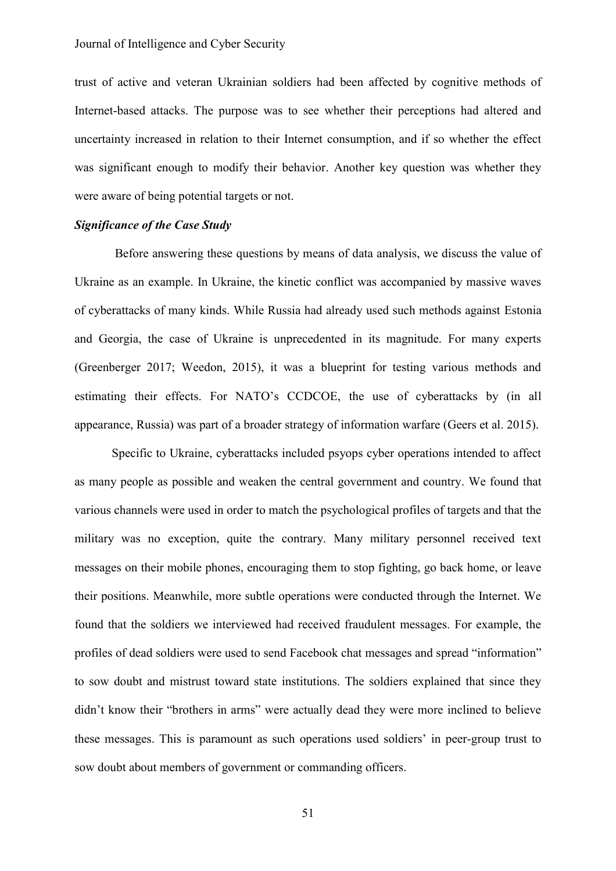trust of active and veteran Ukrainian soldiers had been affected by cognitive methods of Internet-based attacks. The purpose was to see whether their perceptions had altered and uncertainty increased in relation to their Internet consumption, and if so whether the effect was significant enough to modify their behavior. Another key question was whether they were aware of being potential targets or not.

## *Significance of the Case Study*

Before answering these questions by means of data analysis, we discuss the value of Ukraine as an example. In Ukraine, the kinetic conflict was accompanied by massive waves of cyberattacks of many kinds. While Russia had already used such methods against Estonia and Georgia, the case of Ukraine is unprecedented in its magnitude. For many experts (Greenberger 2017; Weedon, 2015), it was a blueprint for testing various methods and estimating their effects. For NATO's CCDCOE, the use of cyberattacks by (in all appearance, Russia) was part of a broader strategy of information warfare (Geers et al. 2015).

Specific to Ukraine, cyberattacks included psyops cyber operations intended to affect as many people as possible and weaken the central government and country. We found that various channels were used in order to match the psychological profiles of targets and that the military was no exception, quite the contrary. Many military personnel received text messages on their mobile phones, encouraging them to stop fighting, go back home, or leave their positions. Meanwhile, more subtle operations were conducted through the Internet. We found that the soldiers we interviewed had received fraudulent messages. For example, the profiles of dead soldiers were used to send Facebook chat messages and spread "information" to sow doubt and mistrust toward state institutions. The soldiers explained that since they didn't know their "brothers in arms" were actually dead they were more inclined to believe these messages. This is paramount as such operations used soldiers' in peer-group trust to sow doubt about members of government or commanding officers.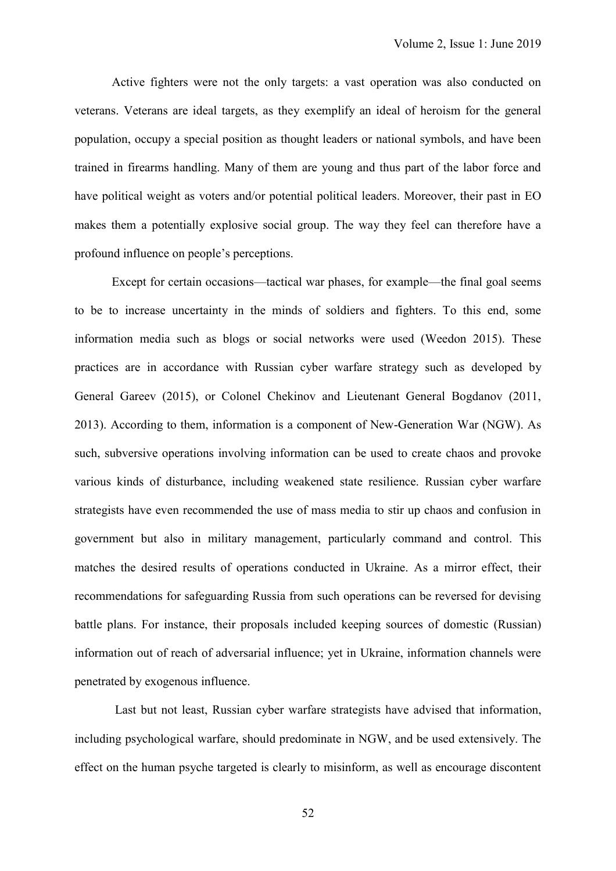Active fighters were not the only targets: a vast operation was also conducted on veterans. Veterans are ideal targets, as they exemplify an ideal of heroism for the general population, occupy a special position as thought leaders or national symbols, and have been trained in firearms handling. Many of them are young and thus part of the labor force and have political weight as voters and/or potential political leaders. Moreover, their past in EO makes them a potentially explosive social group. The way they feel can therefore have a profound influence on people's perceptions.

Except for certain occasions—tactical war phases, for example—the final goal seems to be to increase uncertainty in the minds of soldiers and fighters. To this end, some information media such as blogs or social networks were used (Weedon 2015). These practices are in accordance with Russian cyber warfare strategy such as developed by General Gareev (2015), or Colonel Chekinov and Lieutenant General Bogdanov (2011, 2013). According to them, information is a component of New-Generation War (NGW). As such, subversive operations involving information can be used to create chaos and provoke various kinds of disturbance, including weakened state resilience. Russian cyber warfare strategists have even recommended the use of mass media to stir up chaos and confusion in government but also in military management, particularly command and control. This matches the desired results of operations conducted in Ukraine. As a mirror effect, their recommendations for safeguarding Russia from such operations can be reversed for devising battle plans. For instance, their proposals included keeping sources of domestic (Russian) information out of reach of adversarial influence; yet in Ukraine, information channels were penetrated by exogenous influence.

Last but not least, Russian cyber warfare strategists have advised that information, including psychological warfare, should predominate in NGW, and be used extensively. The effect on the human psyche targeted is clearly to misinform, as well as encourage discontent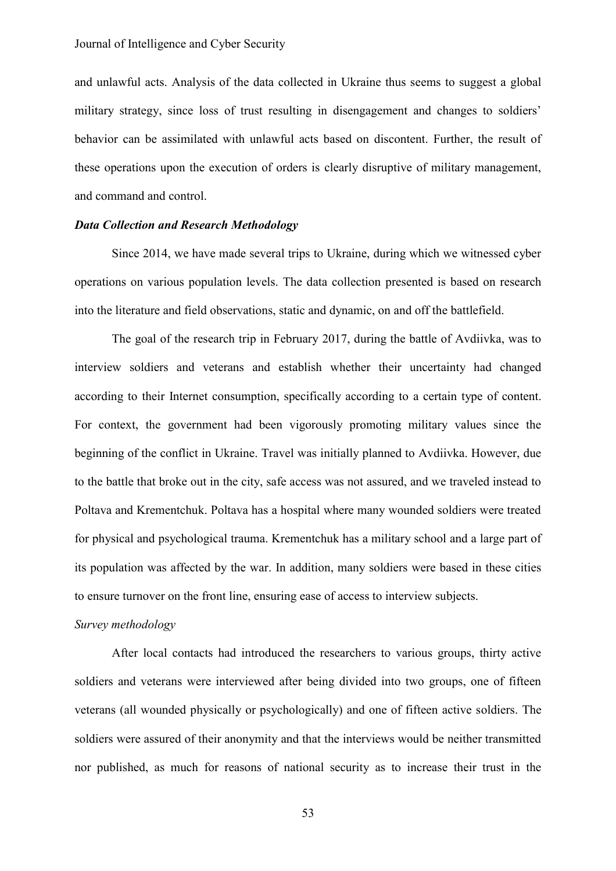and unlawful acts. Analysis of the data collected in Ukraine thus seems to suggest a global military strategy, since loss of trust resulting in disengagement and changes to soldiers' behavior can be assimilated with unlawful acts based on discontent. Further, the result of these operations upon the execution of orders is clearly disruptive of military management, and command and control.

## *Data Collection and Research Methodology*

Since 2014, we have made several trips to Ukraine, during which we witnessed cyber operations on various population levels. The data collection presented is based on research into the literature and field observations, static and dynamic, on and off the battlefield.

The goal of the research trip in February 2017, during the battle of Avdiivka, was to interview soldiers and veterans and establish whether their uncertainty had changed according to their Internet consumption, specifically according to a certain type of content. For context, the government had been vigorously promoting military values since the beginning of the conflict in Ukraine. Travel was initially planned to Avdiivka. However, due to the battle that broke out in the city, safe access was not assured, and we traveled instead to Poltava and Krementchuk. Poltava has a hospital where many wounded soldiers were treated for physical and psychological trauma. Krementchuk has a military school and a large part of its population was affected by the war. In addition, many soldiers were based in these cities to ensure turnover on the front line, ensuring ease of access to interview subjects.

#### *Survey methodology*

After local contacts had introduced the researchers to various groups, thirty active soldiers and veterans were interviewed after being divided into two groups, one of fifteen veterans (all wounded physically or psychologically) and one of fifteen active soldiers. The soldiers were assured of their anonymity and that the interviews would be neither transmitted nor published, as much for reasons of national security as to increase their trust in the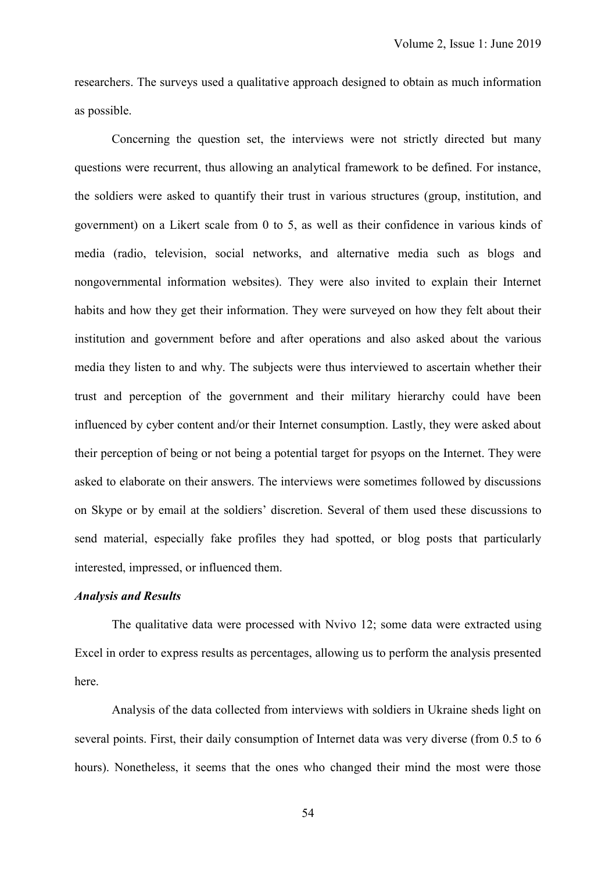researchers. The surveys used a qualitative approach designed to obtain as much information as possible.

Concerning the question set, the interviews were not strictly directed but many questions were recurrent, thus allowing an analytical framework to be defined. For instance, the soldiers were asked to quantify their trust in various structures (group, institution, and government) on a Likert scale from 0 to 5, as well as their confidence in various kinds of media (radio, television, social networks, and alternative media such as blogs and nongovernmental information websites). They were also invited to explain their Internet habits and how they get their information. They were surveyed on how they felt about their institution and government before and after operations and also asked about the various media they listen to and why. The subjects were thus interviewed to ascertain whether their trust and perception of the government and their military hierarchy could have been influenced by cyber content and/or their Internet consumption. Lastly, they were asked about their perception of being or not being a potential target for psyops on the Internet. They were asked to elaborate on their answers. The interviews were sometimes followed by discussions on Skype or by email at the soldiers' discretion. Several of them used these discussions to send material, especially fake profiles they had spotted, or blog posts that particularly interested, impressed, or influenced them.

## *Analysis and Results*

The qualitative data were processed with Nvivo 12; some data were extracted using Excel in order to express results as percentages, allowing us to perform the analysis presented here.

Analysis of the data collected from interviews with soldiers in Ukraine sheds light on several points. First, their daily consumption of Internet data was very diverse (from 0.5 to 6 hours). Nonetheless, it seems that the ones who changed their mind the most were those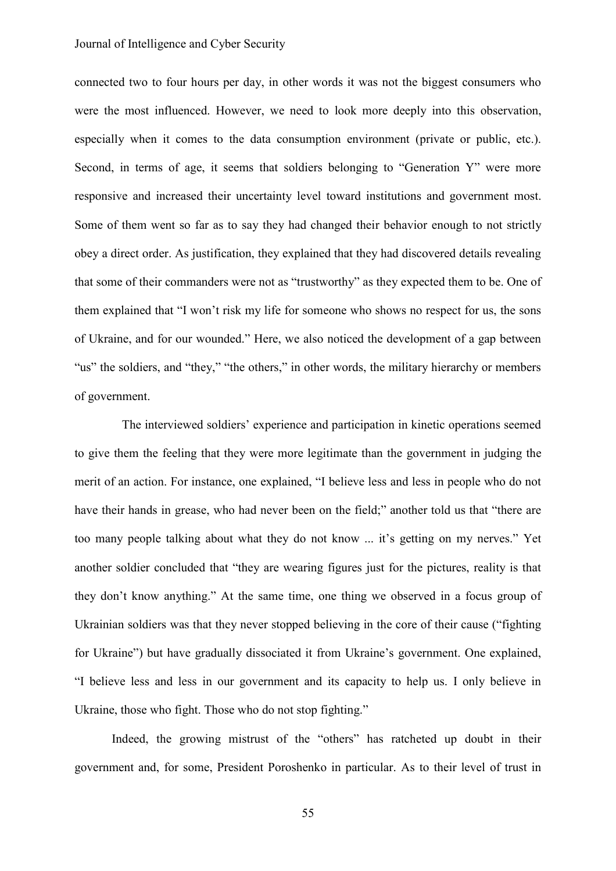#### Journal of Intelligence and Cyber Security

connected two to four hours per day, in other words it was not the biggest consumers who were the most influenced. However, we need to look more deeply into this observation, especially when it comes to the data consumption environment (private or public, etc.). Second, in terms of age, it seems that soldiers belonging to "Generation Y" were more responsive and increased their uncertainty level toward institutions and government most. Some of them went so far as to say they had changed their behavior enough to not strictly obey a direct order. As justification, they explained that they had discovered details revealing that some of their commanders were not as "trustworthy" as they expected them to be. One of them explained that "I won't risk my life for someone who shows no respect for us, the sons of Ukraine, and for our wounded." Here, we also noticed the development of a gap between "us" the soldiers, and "they," "the others," in other words, the military hierarchy or members of government.

The interviewed soldiers' experience and participation in kinetic operations seemed to give them the feeling that they were more legitimate than the government in judging the merit of an action. For instance, one explained, "I believe less and less in people who do not have their hands in grease, who had never been on the field;" another told us that "there are too many people talking about what they do not know ... it's getting on my nerves." Yet another soldier concluded that "they are wearing figures just for the pictures, reality is that they don't know anything." At the same time, one thing we observed in a focus group of Ukrainian soldiers was that they never stopped believing in the core of their cause ("fighting for Ukraine") but have gradually dissociated it from Ukraine's government. One explained, "I believe less and less in our government and its capacity to help us. I only believe in Ukraine, those who fight. Those who do not stop fighting."

Indeed, the growing mistrust of the "others" has ratcheted up doubt in their government and, for some, President Poroshenko in particular. As to their level of trust in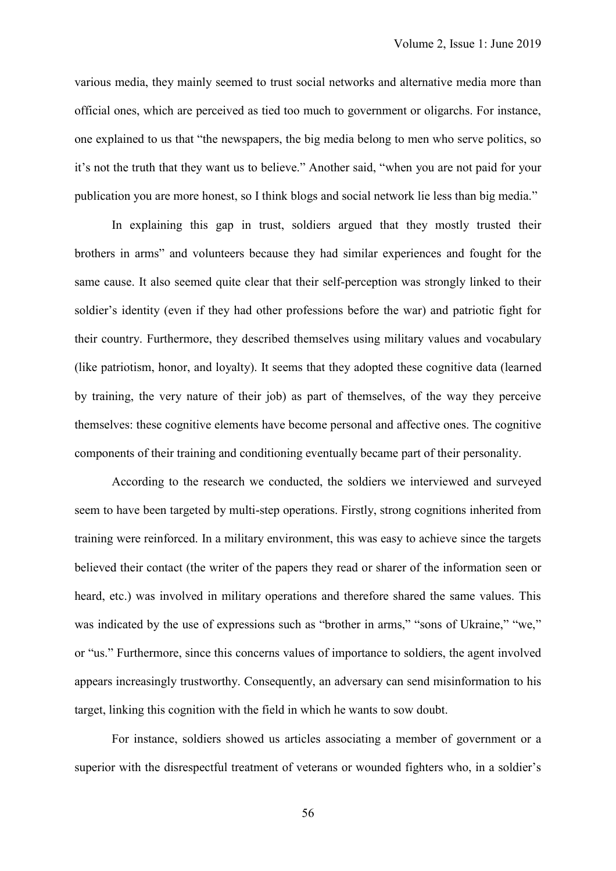various media, they mainly seemed to trust social networks and alternative media more than official ones, which are perceived as tied too much to government or oligarchs. For instance, one explained to us that "the newspapers, the big media belong to men who serve politics, so it's not the truth that they want us to believe." Another said, "when you are not paid for your publication you are more honest, so I think blogs and social network lie less than big media."

In explaining this gap in trust, soldiers argued that they mostly trusted their brothers in arms" and volunteers because they had similar experiences and fought for the same cause. It also seemed quite clear that their self-perception was strongly linked to their soldier's identity (even if they had other professions before the war) and patriotic fight for their country. Furthermore, they described themselves using military values and vocabulary (like patriotism, honor, and loyalty). It seems that they adopted these cognitive data (learned by training, the very nature of their job) as part of themselves, of the way they perceive themselves: these cognitive elements have become personal and affective ones. The cognitive components of their training and conditioning eventually became part of their personality.

According to the research we conducted, the soldiers we interviewed and surveyed seem to have been targeted by multi-step operations. Firstly, strong cognitions inherited from training were reinforced. In a military environment, this was easy to achieve since the targets believed their contact (the writer of the papers they read or sharer of the information seen or heard, etc.) was involved in military operations and therefore shared the same values. This was indicated by the use of expressions such as "brother in arms," "sons of Ukraine," "we," or "us." Furthermore, since this concerns values of importance to soldiers, the agent involved appears increasingly trustworthy. Consequently, an adversary can send misinformation to his target, linking this cognition with the field in which he wants to sow doubt.

For instance, soldiers showed us articles associating a member of government or a superior with the disrespectful treatment of veterans or wounded fighters who, in a soldier's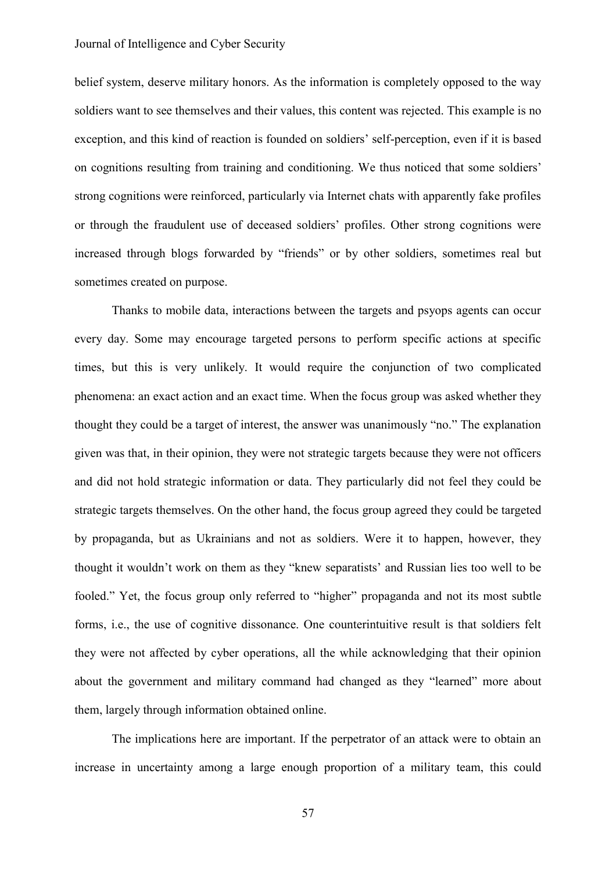#### Journal of Intelligence and Cyber Security

belief system, deserve military honors. As the information is completely opposed to the way soldiers want to see themselves and their values, this content was rejected. This example is no exception, and this kind of reaction is founded on soldiers' self-perception, even if it is based on cognitions resulting from training and conditioning. We thus noticed that some soldiers' strong cognitions were reinforced, particularly via Internet chats with apparently fake profiles or through the fraudulent use of deceased soldiers' profiles. Other strong cognitions were increased through blogs forwarded by "friends" or by other soldiers, sometimes real but sometimes created on purpose.

Thanks to mobile data, interactions between the targets and psyops agents can occur every day. Some may encourage targeted persons to perform specific actions at specific times, but this is very unlikely. It would require the conjunction of two complicated phenomena: an exact action and an exact time. When the focus group was asked whether they thought they could be a target of interest, the answer was unanimously "no." The explanation given was that, in their opinion, they were not strategic targets because they were not officers and did not hold strategic information or data. They particularly did not feel they could be strategic targets themselves. On the other hand, the focus group agreed they could be targeted by propaganda, but as Ukrainians and not as soldiers. Were it to happen, however, they thought it wouldn't work on them as they "knew separatists' and Russian lies too well to be fooled." Yet, the focus group only referred to "higher" propaganda and not its most subtle forms, i.e., the use of cognitive dissonance. One counterintuitive result is that soldiers felt they were not affected by cyber operations, all the while acknowledging that their opinion about the government and military command had changed as they "learned" more about them, largely through information obtained online.

The implications here are important. If the perpetrator of an attack were to obtain an increase in uncertainty among a large enough proportion of a military team, this could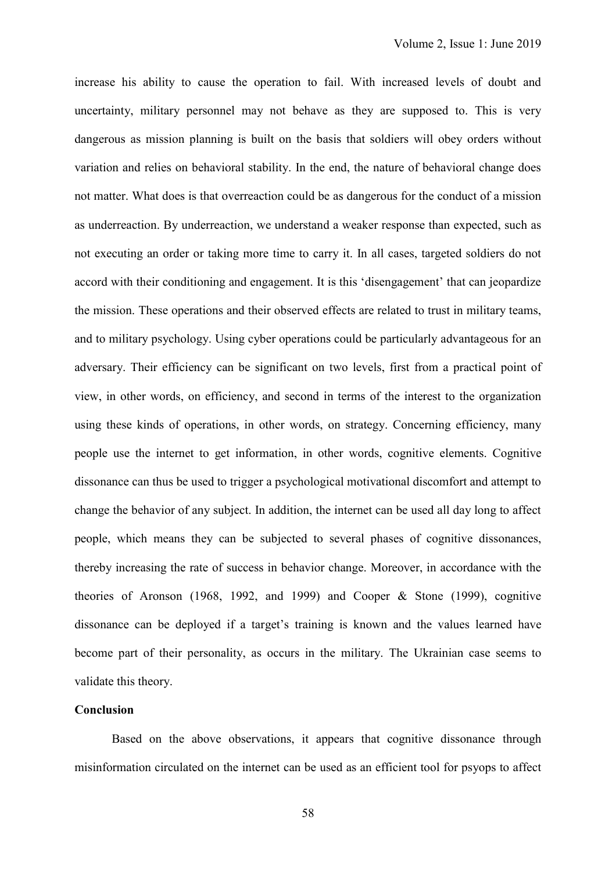increase his ability to cause the operation to fail. With increased levels of doubt and uncertainty, military personnel may not behave as they are supposed to. This is very dangerous as mission planning is built on the basis that soldiers will obey orders without variation and relies on behavioral stability. In the end, the nature of behavioral change does not matter. What does is that overreaction could be as dangerous for the conduct of a mission as underreaction. By underreaction, we understand a weaker response than expected, such as not executing an order or taking more time to carry it. In all cases, targeted soldiers do not accord with their conditioning and engagement. It is this 'disengagement' that can jeopardize the mission. These operations and their observed effects are related to trust in military teams, and to military psychology. Using cyber operations could be particularly advantageous for an adversary. Their efficiency can be significant on two levels, first from a practical point of view, in other words, on efficiency, and second in terms of the interest to the organization using these kinds of operations, in other words, on strategy. Concerning efficiency, many people use the internet to get information, in other words, cognitive elements. Cognitive dissonance can thus be used to trigger a psychological motivational discomfort and attempt to change the behavior of any subject. In addition, the internet can be used all day long to affect people, which means they can be subjected to several phases of cognitive dissonances, thereby increasing the rate of success in behavior change. Moreover, in accordance with the theories of Aronson (1968, 1992, and 1999) and Cooper & Stone (1999), cognitive dissonance can be deployed if a target's training is known and the values learned have become part of their personality, as occurs in the military. The Ukrainian case seems to validate this theory.

# **Conclusion**

Based on the above observations, it appears that cognitive dissonance through misinformation circulated on the internet can be used as an efficient tool for psyops to affect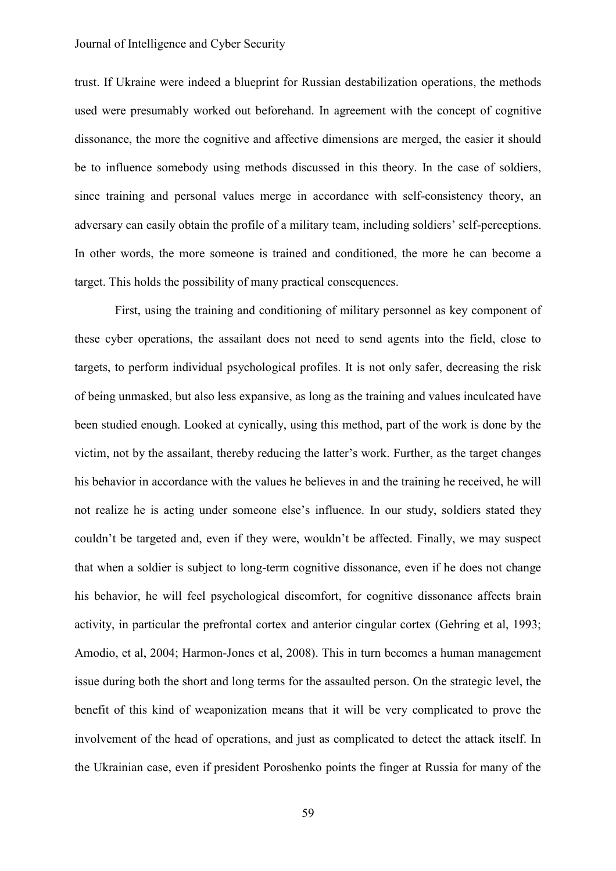#### Journal of Intelligence and Cyber Security

trust. If Ukraine were indeed a blueprint for Russian destabilization operations, the methods used were presumably worked out beforehand. In agreement with the concept of cognitive dissonance, the more the cognitive and affective dimensions are merged, the easier it should be to influence somebody using methods discussed in this theory. In the case of soldiers, since training and personal values merge in accordance with self-consistency theory, an adversary can easily obtain the profile of a military team, including soldiers' self-perceptions. In other words, the more someone is trained and conditioned, the more he can become a target. This holds the possibility of many practical consequences.

First, using the training and conditioning of military personnel as key component of these cyber operations, the assailant does not need to send agents into the field, close to targets, to perform individual psychological profiles. It is not only safer, decreasing the risk of being unmasked, but also less expansive, as long as the training and values inculcated have been studied enough. Looked at cynically, using this method, part of the work is done by the victim, not by the assailant, thereby reducing the latter's work. Further, as the target changes his behavior in accordance with the values he believes in and the training he received, he will not realize he is acting under someone else's influence. In our study, soldiers stated they couldn't be targeted and, even if they were, wouldn't be affected. Finally, we may suspect that when a soldier is subject to long-term cognitive dissonance, even if he does not change his behavior, he will feel psychological discomfort, for cognitive dissonance affects brain activity, in particular the prefrontal cortex and anterior cingular cortex (Gehring et al, 1993; Amodio, et al, 2004; Harmon-Jones et al, 2008). This in turn becomes a human management issue during both the short and long terms for the assaulted person. On the strategic level, the benefit of this kind of weaponization means that it will be very complicated to prove the involvement of the head of operations, and just as complicated to detect the attack itself. In the Ukrainian case, even if president Poroshenko points the finger at Russia for many of the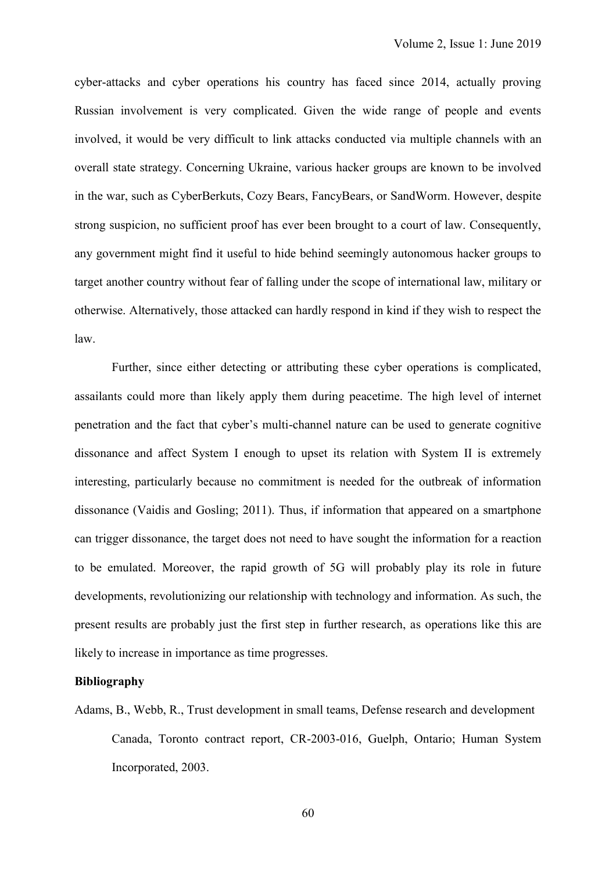cyber-attacks and cyber operations his country has faced since 2014, actually proving Russian involvement is very complicated. Given the wide range of people and events involved, it would be very difficult to link attacks conducted via multiple channels with an overall state strategy. Concerning Ukraine, various hacker groups are known to be involved in the war, such as CyberBerkuts, Cozy Bears, FancyBears, or SandWorm. However, despite strong suspicion, no sufficient proof has ever been brought to a court of law. Consequently, any government might find it useful to hide behind seemingly autonomous hacker groups to target another country without fear of falling under the scope of international law, military or otherwise. Alternatively, those attacked can hardly respond in kind if they wish to respect the law.

Further, since either detecting or attributing these cyber operations is complicated, assailants could more than likely apply them during peacetime. The high level of internet penetration and the fact that cyber's multi-channel nature can be used to generate cognitive dissonance and affect System I enough to upset its relation with System II is extremely interesting, particularly because no commitment is needed for the outbreak of information dissonance (Vaidis and Gosling; 2011). Thus, if information that appeared on a smartphone can trigger dissonance, the target does not need to have sought the information for a reaction to be emulated. Moreover, the rapid growth of 5G will probably play its role in future developments, revolutionizing our relationship with technology and information. As such, the present results are probably just the first step in further research, as operations like this are likely to increase in importance as time progresses.

#### **Bibliography**

Adams, B., Webb, R., Trust development in small teams, Defense research and development Canada, Toronto contract report, CR-2003-016, Guelph, Ontario; Human System Incorporated, 2003.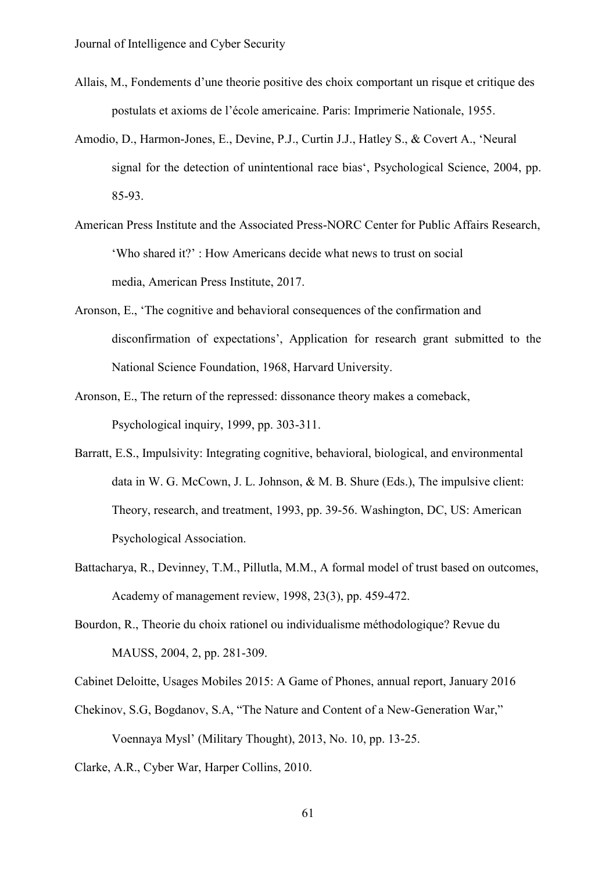- Allais, M., Fondements d'une theorie positive des choix comportant un risque et critique des postulats et axioms de l'école americaine. Paris: Imprimerie Nationale, 1955.
- Amodio, D., Harmon-Jones, E., Devine, P.J., Curtin J.J., Hatley S., & Covert A., 'Neural signal for the detection of unintentional race bias', Psychological Science, 2004, pp. 85-93.
- American Press Institute and the Associated Press-NORC Center for Public Affairs Research, 'Who shared it?' : How Americans decide what news to trust on social media, American Press Institute, 2017.
- Aronson, E., 'The cognitive and behavioral consequences of the confirmation and disconfirmation of expectations', Application for research grant submitted to the National Science Foundation, 1968, Harvard University.
- Aronson, E., The return of the repressed: dissonance theory makes a comeback, Psychological inquiry, 1999, pp. 303-311.
- Barratt, E.S., Impulsivity: Integrating cognitive, behavioral, biological, and environmental data in W. G. McCown, J. L. Johnson, & M. B. Shure (Eds.), The impulsive client: Theory, research, and treatment, 1993, pp. 39-56. Washington, DC, US: American Psychological Association.
- Battacharya, R., Devinney, T.M., Pillutla, M.M., A formal model of trust based on outcomes, Academy of management review, 1998, 23(3), pp. 459-472.
- Bourdon, R., Theorie du choix rationel ou individualisme méthodologique? Revue du MAUSS, 2004, 2, pp. 281-309.

Cabinet Deloitte, Usages Mobiles 2015: A Game of Phones, annual report, January 2016

- Chekinov, S.G, Bogdanov, S.A, "The Nature and Content of a New-Generation War," Voennaya Mysl' (Military Thought), 2013, No. 10, pp. 13-25.
- Clarke, A.R., Cyber War, Harper Collins, 2010.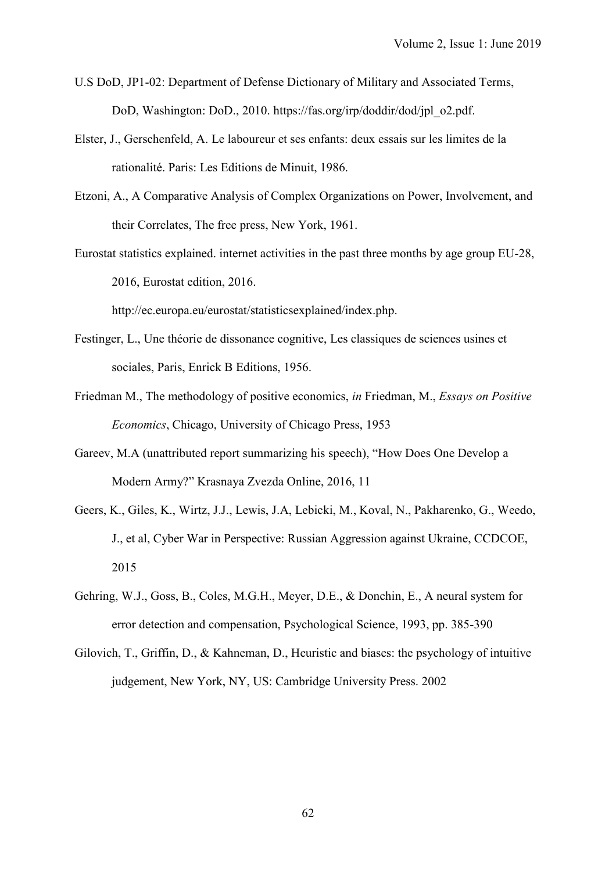- U.S DoD, JP1-02: Department of Defense Dictionary of Military and Associated Terms, DoD, Washington: DoD., 2010. https://fas.org/irp/doddir/dod/jpl\_o2.pdf.
- Elster, J., Gerschenfeld, A. Le laboureur et ses enfants: deux essais sur les limites de la rationalité. Paris: Les Editions de Minuit, 1986.
- Etzoni, A., A Comparative Analysis of Complex Organizations on Power, Involvement, and their Correlates, The free press, New York, 1961.
- Eurostat statistics explained. internet activities in the past three months by age group EU-28, 2016, Eurostat edition, 2016.

http://ec.europa.eu/eurostat/statisticsexplained/index.php.

- Festinger, L., Une théorie de dissonance cognitive, Les classiques de sciences usines et sociales, Paris, Enrick B Editions, 1956.
- Friedman M., The methodology of positive economics, *in* Friedman, M., *Essays on Positive Economics*, Chicago, University of Chicago Press, 1953
- Gareev, M.A (unattributed report summarizing his speech), "How Does One Develop a Modern Army?" Krasnaya Zvezda Online, 2016, 11
- Geers, K., Giles, K., Wirtz, J.J., Lewis, J.A, Lebicki, M., Koval, N., Pakharenko, G., Weedo, J., et al, Cyber War in Perspective: Russian Aggression against Ukraine, CCDCOE, 2015
- Gehring, W.J., Goss, B., Coles, M.G.H., Meyer, D.E., & Donchin, E., A neural system for error detection and compensation, Psychological Science, 1993, pp. 385-390
- Gilovich, T., Griffin, D., & Kahneman, D., Heuristic and biases: the psychology of intuitive judgement, New York, NY, US: Cambridge University Press. 2002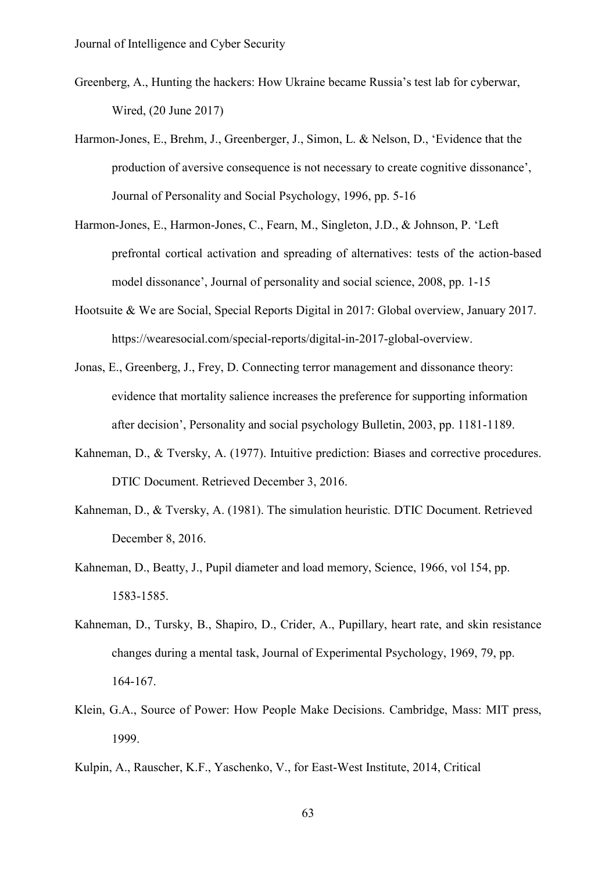- Greenberg, A., Hunting the hackers: How Ukraine became Russia's test lab for cyberwar, Wired, (20 June 2017)
- Harmon-Jones, E., Brehm, J., Greenberger, J., Simon, L. & Nelson, D., 'Evidence that the production of aversive consequence is not necessary to create cognitive dissonance', Journal of Personality and Social Psychology, 1996, pp. 5-16
- Harmon-Jones, E., Harmon-Jones, C., Fearn, M., Singleton, J.D., & Johnson, P. 'Left prefrontal cortical activation and spreading of alternatives: tests of the action-based model dissonance', Journal of personality and social science, 2008, pp. 1-15
- Hootsuite & We are Social, Special Reports Digital in 2017: Global overview, January 2017. [https://wearesocial.com/special-reports/digital-in-2017-global-overview.](https://wearesocial.com/special-reports/digital-in-2017-global-overview)
- Jonas, E., Greenberg, J., Frey, D. Connecting terror management and dissonance theory: evidence that mortality salience increases the preference for supporting information after decision', Personality and social psychology Bulletin, 2003, pp. 1181-1189.
- Kahneman, D., & Tversky, A. (1977). Intuitive prediction: Biases and corrective procedures. DTIC Document. Retrieved December 3, 2016.
- Kahneman, D., & Tversky, A. (1981). The simulation heuristic*.* DTIC Document. Retrieved December 8, 2016.
- Kahneman, D., Beatty, J., Pupil diameter and load memory, Science, 1966, vol 154, pp. 1583-1585.
- Kahneman, D., Tursky, B., Shapiro, D., Crider, A., Pupillary, heart rate, and skin resistance changes during a mental task, Journal of Experimental Psychology, 1969, 79, pp. 164-167.
- Klein, G.A., Source of Power: How People Make Decisions. Cambridge, Mass: MIT press, 1999.
- Kulpin, A., Rauscher, K.F., Yaschenko, V., for East-West Institute, 2014, Critical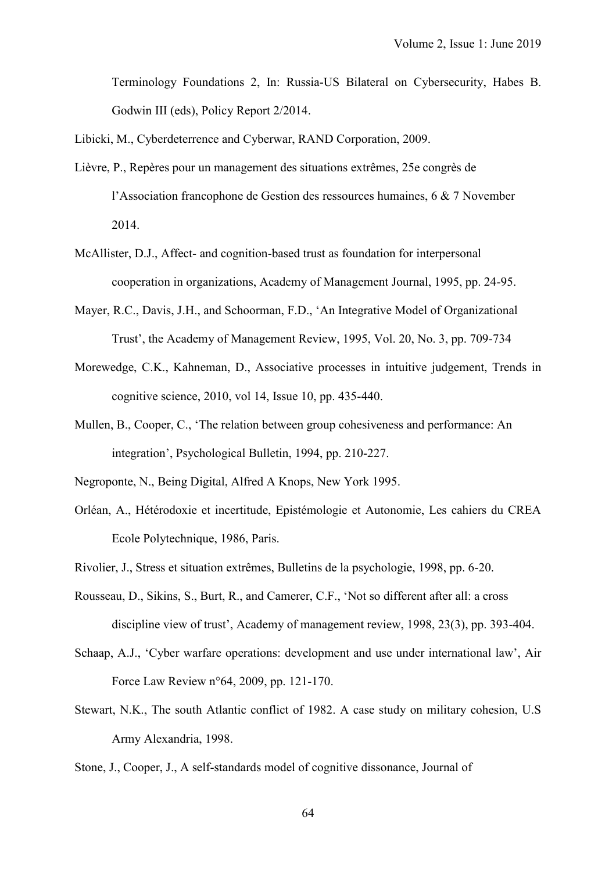Terminology Foundations 2, In: Russia-US Bilateral on Cybersecurity, Habes B. Godwin III (eds), Policy Report 2/2014.

Libicki, M., Cyberdeterrence and Cyberwar, RAND Corporation, 2009.

- Lièvre, P., Repères pour un management des situations extrêmes, 25e congrès de l'Association francophone de Gestion des ressources humaines, 6 & 7 November 2014.
- McAllister, D.J., Affect- and cognition-based trust as foundation for interpersonal cooperation in organizations, Academy of Management Journal, 1995, pp. 24-95.
- Mayer, R.C., Davis, J.H., and Schoorman, F.D., 'An Integrative Model of Organizational Trust', the Academy of Management Review, 1995, Vol. 20, No. 3, pp. 709-734
- Morewedge, C.K., Kahneman, D., Associative processes in intuitive judgement, Trends in cognitive science, 2010, vol 14, Issue 10, pp. 435-440.
- Mullen, B., Cooper, C., 'The relation between group cohesiveness and performance: An integration', Psychological Bulletin, 1994, pp. 210-227.
- Negroponte, N., Being Digital, Alfred A Knops, New York 1995.
- Orléan, A., Hétérodoxie et incertitude, Epistémologie et Autonomie, Les cahiers du CREA Ecole Polytechnique, 1986, Paris.
- Rivolier, J., Stress et situation extrêmes, Bulletins de la psychologie, 1998, pp. 6-20.
- Rousseau, D., Sikins, S., Burt, R., and Camerer, C.F., 'Not so different after all: a cross discipline view of trust', Academy of management review, 1998, 23(3), pp. 393-404.
- Schaap, A.J., 'Cyber warfare operations: development and use under international law', Air Force Law Review n°64, 2009, pp. 121-170.
- Stewart, N.K., The south Atlantic conflict of 1982. A case study on military cohesion, U.S Army Alexandria, 1998.
- Stone, J., Cooper, J., A self-standards model of cognitive dissonance, Journal of